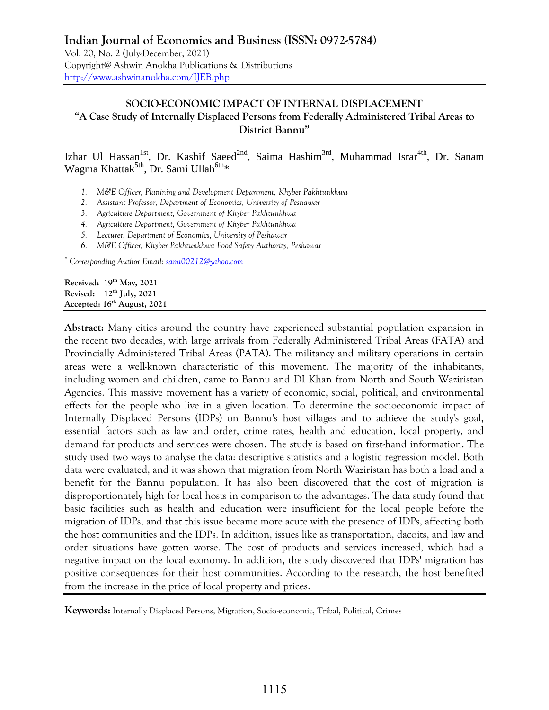# **SOCIO-ECONOMIC IMPACT OF INTERNAL DISPLACEMENT "A Case Study of Internally Displaced Persons from Federally Administered Tribal Areas to District Bannu"**

Izhar Ul Hassan<sup>1st</sup>, Dr. Kashif Saeed<sup>2nd</sup>, Saima Hashim<sup>3rd</sup>, Muhammad Israr<sup>4th</sup>, Dr. Sanam Wagma Khattak<sup>5th</sup>, Dr. Sami Ullah<sup>6th</sup>\*

- *1. M&E Officer, Planining and Development Department, Khyber Pakhtunkhwa*
- *2. Assistant Professor, Department of Economics, University of Peshawar*
- *3. Agriculture Department, Government of Khyber Pakhtunkhwa*
- *4. Agriculture Department, Government of Khyber Pakhtunkhwa*
- *5. Lecturer, Department of Economics, University of Peshawar*
- *6. M&E Officer, Khyber Pakhtunkhwa Food Safety Authority, Peshawar*

*\* Corresponding Author Email: [sami00212@yahoo.com](mailto:sami00212@yahoo.com)*

**Received: 19 th May, 2021 Revised: 12th July, 2021 Accepted: 16th August, 2021**

**Abstract:** Many cities around the country have experienced substantial population expansion in the recent two decades, with large arrivals from Federally Administered Tribal Areas (FATA) and Provincially Administered Tribal Areas (PATA). The militancy and military operations in certain areas were a well-known characteristic of this movement. The majority of the inhabitants, including women and children, came to Bannu and DI Khan from North and South Waziristan Agencies. This massive movement has a variety of economic, social, political, and environmental effects for the people who live in a given location. To determine the socioeconomic impact of Internally Displaced Persons (IDPs) on Bannu's host villages and to achieve the study's goal, essential factors such as law and order, crime rates, health and education, local property, and demand for products and services were chosen. The study is based on first-hand information. The study used two ways to analyse the data: descriptive statistics and a logistic regression model. Both data were evaluated, and it was shown that migration from North Waziristan has both a load and a benefit for the Bannu population. It has also been discovered that the cost of migration is disproportionately high for local hosts in comparison to the advantages. The data study found that basic facilities such as health and education were insufficient for the local people before the migration of IDPs, and that this issue became more acute with the presence of IDPs, affecting both the host communities and the IDPs. In addition, issues like as transportation, dacoits, and law and order situations have gotten worse. The cost of products and services increased, which had a negative impact on the local economy. In addition, the study discovered that IDPs' migration has positive consequences for their host communities. According to the research, the host benefited from the increase in the price of local property and prices.

**Keywords:** Internally Displaced Persons, Migration, Socio-economic, Tribal, Political, Crimes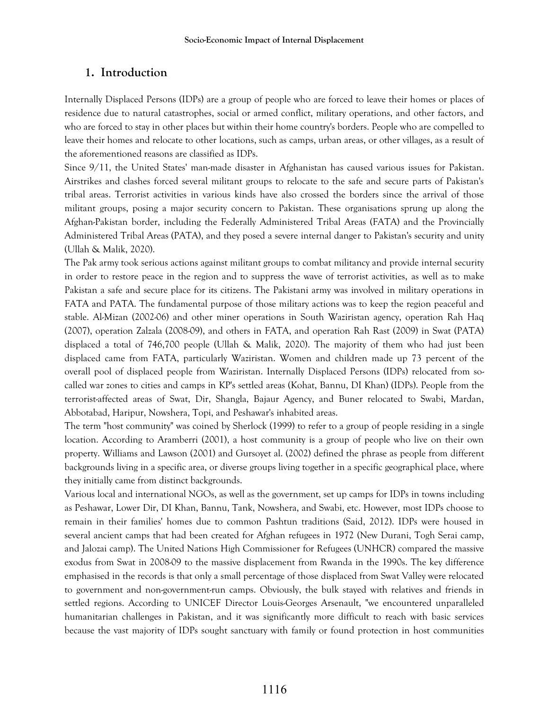# **1. Introduction**

Internally Displaced Persons (IDPs) are a group of people who are forced to leave their homes or places of residence due to natural catastrophes, social or armed conflict, military operations, and other factors, and who are forced to stay in other places but within their home country's borders. People who are compelled to leave their homes and relocate to other locations, such as camps, urban areas, or other villages, as a result of the aforementioned reasons are classified as IDPs.

Since 9/11, the United States' man-made disaster in Afghanistan has caused various issues for Pakistan. Airstrikes and clashes forced several militant groups to relocate to the safe and secure parts of Pakistan's tribal areas. Terrorist activities in various kinds have also crossed the borders since the arrival of those militant groups, posing a major security concern to Pakistan. These organisations sprung up along the Afghan-Pakistan border, including the Federally Administered Tribal Areas (FATA) and the Provincially Administered Tribal Areas (PATA), and they posed a severe internal danger to Pakistan's security and unity (Ullah & Malik, 2020).

The Pak army took serious actions against militant groups to combat militancy and provide internal security in order to restore peace in the region and to suppress the wave of terrorist activities, as well as to make Pakistan a safe and secure place for its citizens. The Pakistani army was involved in military operations in FATA and PATA. The fundamental purpose of those military actions was to keep the region peaceful and stable. Al-Mizan (2002-06) and other miner operations in South Waziristan agency, operation Rah Haq (2007), operation Zalzala (2008-09), and others in FATA, and operation Rah Rast (2009) in Swat (PATA) displaced a total of 746,700 people (Ullah & Malik, 2020). The majority of them who had just been displaced came from FATA, particularly Waziristan. Women and children made up 73 percent of the overall pool of displaced people from Waziristan. Internally Displaced Persons (IDPs) relocated from socalled war zones to cities and camps in KP's settled areas (Kohat, Bannu, DI Khan) (IDPs). People from the terrorist-affected areas of Swat, Dir, Shangla, Bajaur Agency, and Buner relocated to Swabi, Mardan, Abbotabad, Haripur, Nowshera, Topi, and Peshawar's inhabited areas.

The term "host community" was coined by Sherlock (1999) to refer to a group of people residing in a single location. According to Aramberri (2001), a host community is a group of people who live on their own property. Williams and Lawson (2001) and Gursoyet al. (2002) defined the phrase as people from different backgrounds living in a specific area, or diverse groups living together in a specific geographical place, where they initially came from distinct backgrounds.

Various local and international NGOs, as well as the government, set up camps for IDPs in towns including as Peshawar, Lower Dir, DI Khan, Bannu, Tank, Nowshera, and Swabi, etc. However, most IDPs choose to remain in their families' homes due to common Pashtun traditions (Said, 2012). IDPs were housed in several ancient camps that had been created for Afghan refugees in 1972 (New Durani, Togh Serai camp, and Jalozai camp). The United Nations High Commissioner for Refugees (UNHCR) compared the massive exodus from Swat in 2008-09 to the massive displacement from Rwanda in the 1990s. The key difference emphasised in the records is that only a small percentage of those displaced from Swat Valley were relocated to government and non-government-run camps. Obviously, the bulk stayed with relatives and friends in settled regions. According to UNICEF Director Louis-Georges Arsenault, "we encountered unparalleled humanitarian challenges in Pakistan, and it was significantly more difficult to reach with basic services because the vast majority of IDPs sought sanctuary with family or found protection in host communities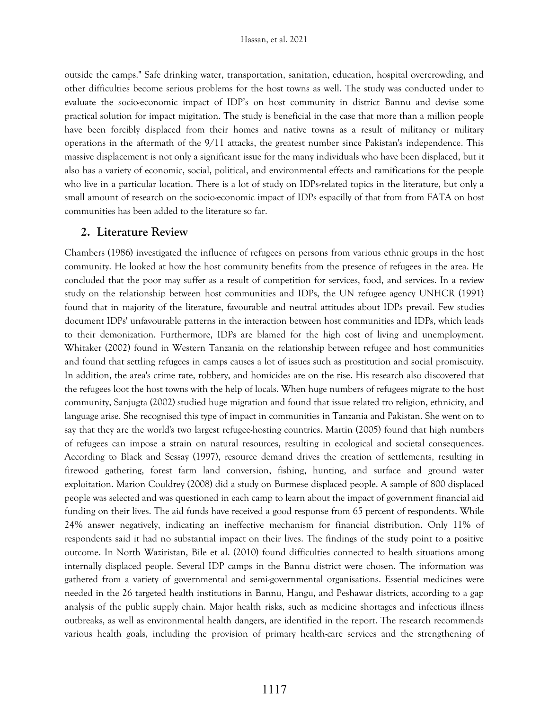outside the camps." Safe drinking water, transportation, sanitation, education, hospital overcrowding, and other difficulties become serious problems for the host towns as well. The study was conducted under to evaluate the socio-economic impact of IDP"s on host community in district Bannu and devise some practical solution for impact migitation. The study is beneficial in the case that more than a million people have been forcibly displaced from their homes and native towns as a result of militancy or military operations in the aftermath of the 9/11 attacks, the greatest number since Pakistan's independence. This massive displacement is not only a significant issue for the many individuals who have been displaced, but it also has a variety of economic, social, political, and environmental effects and ramifications for the people who live in a particular location. There is a lot of study on IDPs-related topics in the literature, but only a small amount of research on the socio-economic impact of IDPs espacilly of that from from FATA on host communities has been added to the literature so far.

### **2. Literature Review**

Chambers (1986) investigated the influence of refugees on persons from various ethnic groups in the host community. He looked at how the host community benefits from the presence of refugees in the area. He concluded that the poor may suffer as a result of competition for services, food, and services. In a review study on the relationship between host communities and IDPs, the UN refugee agency UNHCR (1991) found that in majority of the literature, favourable and neutral attitudes about IDPs prevail. Few studies document IDPs' unfavourable patterns in the interaction between host communities and IDPs, which leads to their demonization. Furthermore, IDPs are blamed for the high cost of living and unemployment. Whitaker (2002) found in Western Tanzania on the relationship between refugee and host communities and found that settling refugees in camps causes a lot of issues such as prostitution and social promiscuity. In addition, the area's crime rate, robbery, and homicides are on the rise. His research also discovered that the refugees loot the host towns with the help of locals. When huge numbers of refugees migrate to the host community, Sanjugta (2002) studied huge migration and found that issue related tro religion, ethnicity, and language arise. She recognised this type of impact in communities in Tanzania and Pakistan. She went on to say that they are the world's two largest refugee-hosting countries. Martin (2005) found that high numbers of refugees can impose a strain on natural resources, resulting in ecological and societal consequences. According to Black and Sessay (1997), resource demand drives the creation of settlements, resulting in firewood gathering, forest farm land conversion, fishing, hunting, and surface and ground water exploitation. Marion Couldrey (2008) did a study on Burmese displaced people. A sample of 800 displaced people was selected and was questioned in each camp to learn about the impact of government financial aid funding on their lives. The aid funds have received a good response from 65 percent of respondents. While 24% answer negatively, indicating an ineffective mechanism for financial distribution. Only 11% of respondents said it had no substantial impact on their lives. The findings of the study point to a positive outcome. In North Waziristan, Bile et al. (2010) found difficulties connected to health situations among internally displaced people. Several IDP camps in the Bannu district were chosen. The information was gathered from a variety of governmental and semi-governmental organisations. Essential medicines were needed in the 26 targeted health institutions in Bannu, Hangu, and Peshawar districts, according to a gap analysis of the public supply chain. Major health risks, such as medicine shortages and infectious illness outbreaks, as well as environmental health dangers, are identified in the report. The research recommends various health goals, including the provision of primary health-care services and the strengthening of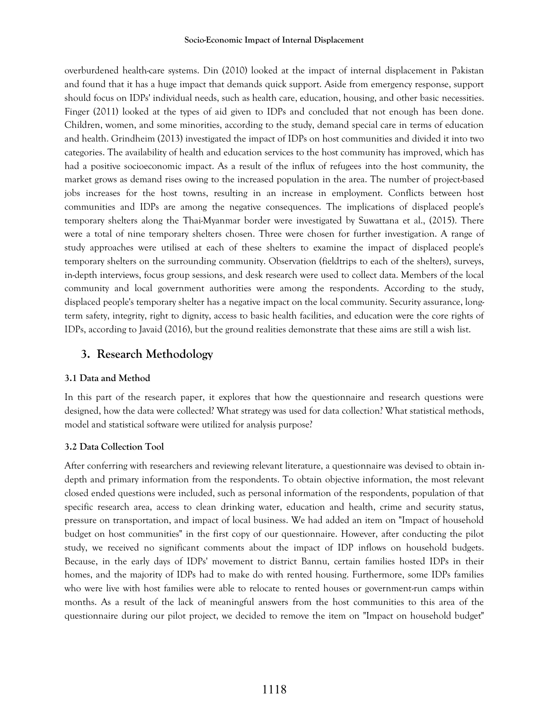#### **Socio-Economic Impact of Internal Displacement**

overburdened health-care systems. Din (2010) looked at the impact of internal displacement in Pakistan and found that it has a huge impact that demands quick support. Aside from emergency response, support should focus on IDPs' individual needs, such as health care, education, housing, and other basic necessities. Finger (2011) looked at the types of aid given to IDPs and concluded that not enough has been done. Children, women, and some minorities, according to the study, demand special care in terms of education and health. Grindheim (2013) investigated the impact of IDPs on host communities and divided it into two categories. The availability of health and education services to the host community has improved, which has had a positive socioeconomic impact. As a result of the influx of refugees into the host community, the market grows as demand rises owing to the increased population in the area. The number of project-based jobs increases for the host towns, resulting in an increase in employment. Conflicts between host communities and IDPs are among the negative consequences. The implications of displaced people's temporary shelters along the Thai-Myanmar border were investigated by Suwattana et al., (2015). There were a total of nine temporary shelters chosen. Three were chosen for further investigation. A range of study approaches were utilised at each of these shelters to examine the impact of displaced people's temporary shelters on the surrounding community. Observation (fieldtrips to each of the shelters), surveys, in-depth interviews, focus group sessions, and desk research were used to collect data. Members of the local community and local government authorities were among the respondents. According to the study, displaced people's temporary shelter has a negative impact on the local community. Security assurance, longterm safety, integrity, right to dignity, access to basic health facilities, and education were the core rights of IDPs, according to Javaid (2016), but the ground realities demonstrate that these aims are still a wish list.

# **3. Research Methodology**

## **3.1 Data and Method**

In this part of the research paper, it explores that how the questionnaire and research questions were designed, how the data were collected? What strategy was used for data collection? What statistical methods, model and statistical software were utilized for analysis purpose?

## **3.2 Data Collection Tool**

After conferring with researchers and reviewing relevant literature, a questionnaire was devised to obtain indepth and primary information from the respondents. To obtain objective information, the most relevant closed ended questions were included, such as personal information of the respondents, population of that specific research area, access to clean drinking water, education and health, crime and security status, pressure on transportation, and impact of local business. We had added an item on "Impact of household budget on host communities" in the first copy of our questionnaire. However, after conducting the pilot study, we received no significant comments about the impact of IDP inflows on household budgets. Because, in the early days of IDPs' movement to district Bannu, certain families hosted IDPs in their homes, and the majority of IDPs had to make do with rented housing. Furthermore, some IDPs families who were live with host families were able to relocate to rented houses or government-run camps within months. As a result of the lack of meaningful answers from the host communities to this area of the questionnaire during our pilot project, we decided to remove the item on "Impact on household budget"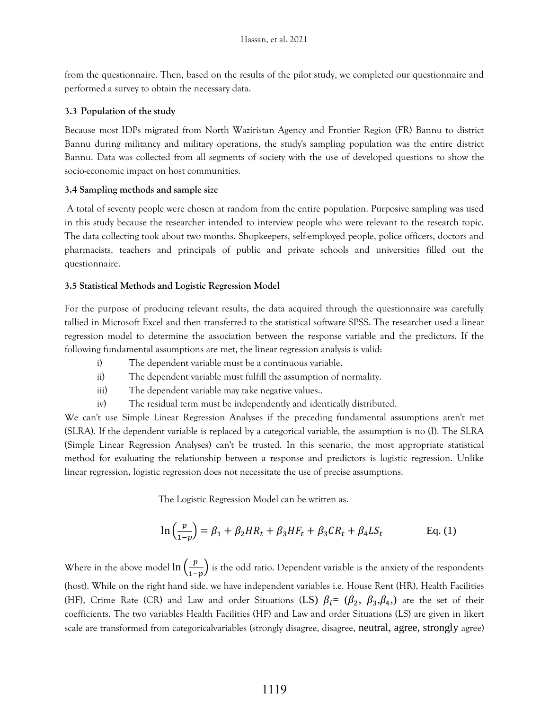from the questionnaire. Then, based on the results of the pilot study, we completed our questionnaire and performed a survey to obtain the necessary data.

### **3.3 Population of the study**

Because most IDPs migrated from North Waziristan Agency and Frontier Region (FR) Bannu to district Bannu during militancy and military operations, the study's sampling population was the entire district Bannu. Data was collected from all segments of society with the use of developed questions to show the socio-economic impact on host communities.

### **3.4 Sampling methods and sample size**

A total of seventy people were chosen at random from the entire population. Purposive sampling was used in this study because the researcher intended to interview people who were relevant to the research topic. The data collecting took about two months. Shopkeepers, self-employed people, police officers, doctors and pharmacists, teachers and principals of public and private schools and universities filled out the questionnaire.

### **3.5 Statistical Methods and Logistic Regression Model**

For the purpose of producing relevant results, the data acquired through the questionnaire was carefully tallied in Microsoft Excel and then transferred to the statistical software SPSS. The researcher used a linear regression model to determine the association between the response variable and the predictors. If the following fundamental assumptions are met, the linear regression analysis is valid:

- i) The dependent variable must be a continuous variable.
- ii) The dependent variable must fulfill the assumption of normality.
- iii) The dependent variable may take negative values..
- iv) The residual term must be independently and identically distributed.

We can't use Simple Linear Regression Analyses if the preceding fundamental assumptions aren't met (SLRA). If the dependent variable is replaced by a categorical variable, the assumption is no (I). The SLRA (Simple Linear Regression Analyses) can't be trusted. In this scenario, the most appropriate statistical method for evaluating the relationship between a response and predictors is logistic regression. Unlike linear regression, logistic regression does not necessitate the use of precise assumptions.

The Logistic Regression Model can be written as.

$$
\ln\left(\frac{p}{1-p}\right) = \beta_1 + \beta_2 HR_t + \beta_3 HF_t + \beta_3 CR_t + \beta_4 LS_t \qquad \text{Eq. (1)}
$$

Where in the above model  $\ln\left(\frac{p}{\epsilon}\right)$  $\frac{p}{1-p}$ ) is the odd ratio. Dependent variable is the anxiety of the respondents (host). While on the right hand side, we have independent variables i.e. House Rent (HR), Health Facilities (HF), Crime Rate (CR) and Law and order Situations (LS)  $\beta_i = (\beta_2, \beta_3, \beta_4)$  are the set of their coefficients. The two variables Health Facilities (HF) and Law and order Situations (LS) are given in likert scale are transformed from categoricalvariables (strongly disagree, disagree, neutral, agree, strongly agree)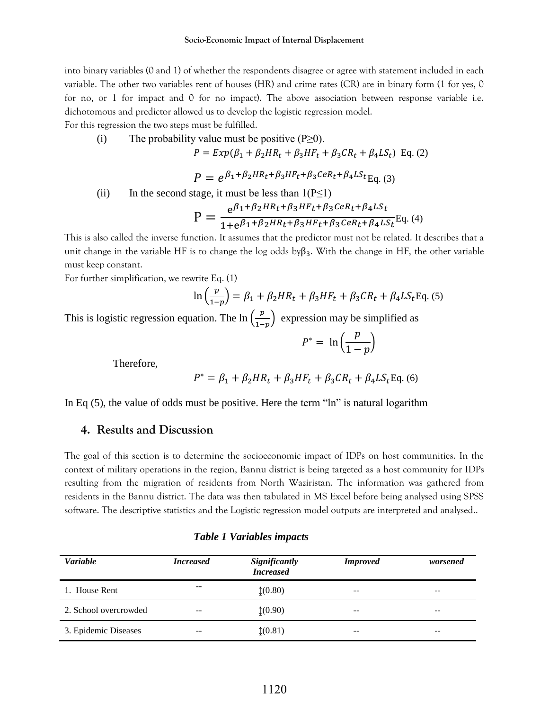into binary variables (0 and 1) of whether the respondents disagree or agree with statement included in each variable. The other two variables rent of houses (HR) and crime rates (CR) are in binary form (1 for yes, 0 for no, or 1 for impact and 0 for no impact). The above association between response variable i.e. dichotomous and predictor allowed us to develop the logistic regression model.

For this regression the two steps must be fulfilled.

(i) The probability value must be positive  $(P \ge 0)$ .

$$
P = Exp(\beta_1 + \beta_2 HR_t + \beta_3 HF_t + \beta_3 CR_t + \beta_4 LS_t) \text{ Eq. (2)}
$$

 $P = e^{\beta_1 + \beta_2 HR_t + \beta_3 HF_t + \beta_3 C eR_t + \beta_4 LS_t}$ Eq. (3)

(ii) In the second stage, it must be less than  $1(P \le 1)$ 

$$
P = \frac{e^{\beta_1 + \beta_2 HR_t + \beta_3 H F_t + \beta_3 C eR_t + \beta_4 L S_t}}{1 + e^{\beta_1 + \beta_2 HR_t + \beta_3 HF_t + \beta_3 C eR_t + \beta_4 L S_t}} Eq. (4)
$$

This is also called the inverse function. It assumes that the predictor must not be related. It describes that a unit change in the variable HF is to change the log odds by $\beta_3$ . With the change in HF, the other variable must keep constant.

For further simplification, we rewrite Eq. (1)

$$
\ln\left(\frac{p}{1-p}\right) = \beta_1 + \beta_2 HR_t + \beta_3 HF_t + \beta_3 CR_t + \beta_4 LS_t \text{Eq. (5)}
$$

This is logistic regression equation. The  $\ln\left(\frac{p}{1-p}\right)$  $\left(\frac{p}{1-p}\right)$  expression may be simplified as

$$
P^* = \ln\left(\frac{p}{1-p}\right)
$$

Therefore,

$$
P^* = \beta_1 + \beta_2 HR_t + \beta_3 HF_t + \beta_3 CR_t + \beta_4 LS_t \text{Eq. (6)}
$$

In Eq  $(5)$ , the value of odds must be positive. Here the term "ln" is natural logarithm

## **4. Results and Discussion**

The goal of this section is to determine the socioeconomic impact of IDPs on host communities. In the context of military operations in the region, Bannu district is being targeted as a host community for IDPs resulting from the migration of residents from North Waziristan. The information was gathered from residents in the Bannu district. The data was then tabulated in MS Excel before being analysed using SPSS software. The descriptive statistics and the Logistic regression model outputs are interpreted and analysed..

| Variable              | <b>Increased</b> | Significantly<br><b>Increased</b> | <b>Improved</b> | worsened |
|-----------------------|------------------|-----------------------------------|-----------------|----------|
| 1. House Rent         | $- -$            | (0.80)                            | --              |          |
| 2. School overcrowded | $- -$            | (0.90)                            | --              |          |
| 3. Epidemic Diseases  | --               | $\updownarrow(0.81)$              | --              | --       |

### *Table 1 Variables impacts*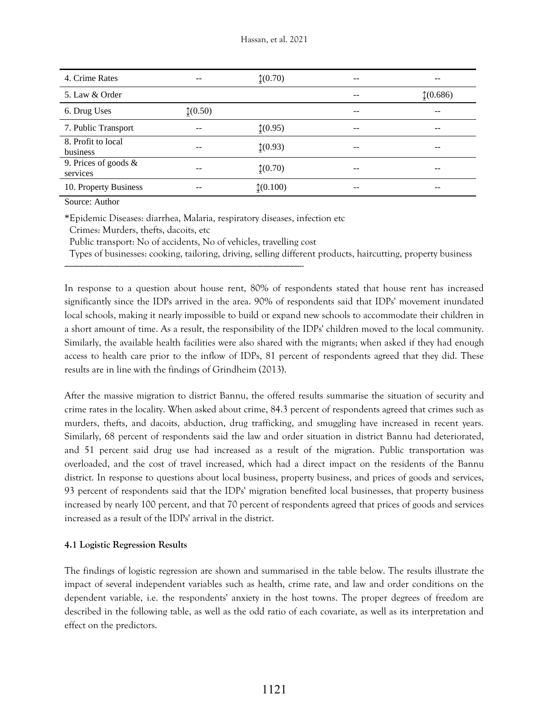| 4. Crime Rates                      | --       | $(0.70)$ | $ -$ |         |
|-------------------------------------|----------|----------|------|---------|
| 5. Law & Order                      |          |          | --   | (0.686) |
| 6. Drug Uses                        | $(0.50)$ |          | --   |         |
| 7. Public Transport                 |          | (0.95)   | --   |         |
| 8. Profit to local<br>business      |          | (0.93)   | --   |         |
| 9. Prices of goods $\&$<br>services | --       | $(0.70)$ | --   | --      |
| 10. Property Business               |          | (0.100)  | --   |         |

Source: Author

\*Epidemic Diseases: diarrhea, Malaria, respiratory diseases, infection etc

Crimes: Murders, thefts, dacoits, etc

Public transport: No of accidents, No of vehicles, travelling cost

------------------------------------------------------------------------------------------------------------------------------

Types of businesses: cooking, tailoring, driving, selling different products, haircutting, property business

In response to a question about house rent, 80% of respondents stated that house rent has increased significantly since the IDPs arrived in the area. 90% of respondents said that IDPs' movement inundated local schools, making it nearly impossible to build or expand new schools to accommodate their children in a short amount of time. As a result, the responsibility of the IDPs' children moved to the local community. Similarly, the available health facilities were also shared with the migrants; when asked if they had enough access to health care prior to the inflow of IDPs, 81 percent of respondents agreed that they did. These results are in line with the findings of Grindheim (2013).

After the massive migration to district Bannu, the offered results summarise the situation of security and crime rates in the locality. When asked about crime, 84.3 percent of respondents agreed that crimes such as murders, thefts, and dacoits, abduction, drug trafficking, and smuggling have increased in recent years. Similarly, 68 percent of respondents said the law and order situation in district Bannu had deteriorated, and 51 percent said drug use had increased as a result of the migration. Public transportation was overloaded, and the cost of travel increased, which had a direct impact on the residents of the Bannu district. In response to questions about local business, property business, and prices of goods and services, 93 percent of respondents said that the IDPs' migration benefited local businesses, that property business increased by nearly 100 percent, and that 70 percent of respondents agreed that prices of goods and services increased as a result of the IDPs' arrival in the district.

## **4.1 Logistic Regression Results**

The findings of logistic regression are shown and summarised in the table below. The results illustrate the impact of several independent variables such as health, crime rate, and law and order conditions on the dependent variable, i.e. the respondents' anxiety in the host towns. The proper degrees of freedom are described in the following table, as well as the odd ratio of each covariate, as well as its interpretation and effect on the predictors.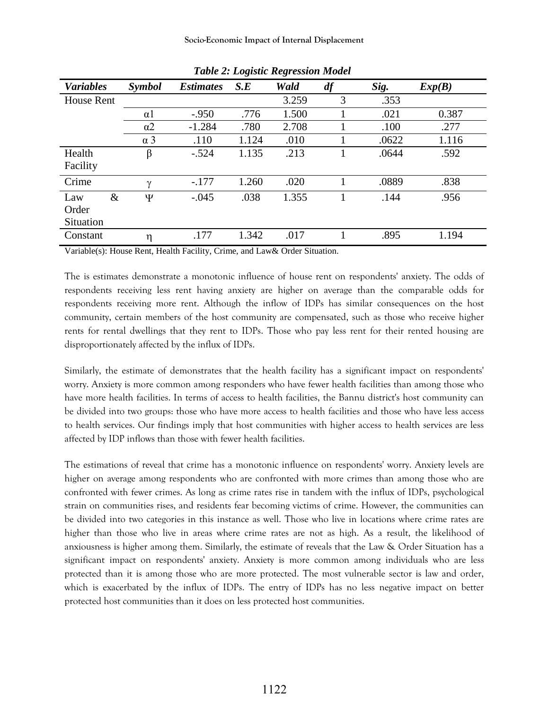| <b>Variables</b>  | Symbol     | <b>Estimates</b> | S.E   | Wald  | df | Sig.  | Exp(B) |
|-------------------|------------|------------------|-------|-------|----|-------|--------|
| <b>House Rent</b> |            |                  |       | 3.259 | 3  | .353  |        |
|                   | $\alpha$ 1 | $-.950$          | .776  | 1.500 |    | .021  | 0.387  |
|                   | $\alpha$ 2 | $-1.284$         | .780  | 2.708 |    | .100  | .277   |
|                   | $\alpha$ 3 | .110             | 1.124 | .010  |    | .0622 | 1.116  |
| Health            | β          | $-.524$          | 1.135 | .213  |    | .0644 | .592   |
| Facility          |            |                  |       |       |    |       |        |
| Crime             | $\gamma$   | $-.177$          | 1.260 | .020  |    | .0889 | .838   |
| $\&$<br>Law       | Ψ          | $-.045$          | .038  | 1.355 |    | .144  | .956   |
| Order             |            |                  |       |       |    |       |        |
| Situation         |            |                  |       |       |    |       |        |
| Constant          | η          | .177             | 1.342 | .017  |    | .895  | 1.194  |

*Table 2: Logistic Regression Model*

Variable(s): House Rent, Health Facility, Crime, and Law& Order Situation.

The is estimates demonstrate a monotonic influence of house rent on respondents' anxiety. The odds of respondents receiving less rent having anxiety are higher on average than the comparable odds for respondents receiving more rent. Although the inflow of IDPs has similar consequences on the host community, certain members of the host community are compensated, such as those who receive higher rents for rental dwellings that they rent to IDPs. Those who pay less rent for their rented housing are disproportionately affected by the influx of IDPs.

Similarly, the estimate of demonstrates that the health facility has a significant impact on respondents' worry. Anxiety is more common among responders who have fewer health facilities than among those who have more health facilities. In terms of access to health facilities, the Bannu district's host community can be divided into two groups: those who have more access to health facilities and those who have less access to health services. Our findings imply that host communities with higher access to health services are less affected by IDP inflows than those with fewer health facilities.

The estimations of reveal that crime has a monotonic influence on respondents' worry. Anxiety levels are higher on average among respondents who are confronted with more crimes than among those who are confronted with fewer crimes. As long as crime rates rise in tandem with the influx of IDPs, psychological strain on communities rises, and residents fear becoming victims of crime. However, the communities can be divided into two categories in this instance as well. Those who live in locations where crime rates are higher than those who live in areas where crime rates are not as high. As a result, the likelihood of anxiousness is higher among them. Similarly, the estimate of reveals that the Law & Order Situation has a significant impact on respondents' anxiety. Anxiety is more common among individuals who are less protected than it is among those who are more protected. The most vulnerable sector is law and order, which is exacerbated by the influx of IDPs. The entry of IDPs has no less negative impact on better protected host communities than it does on less protected host communities.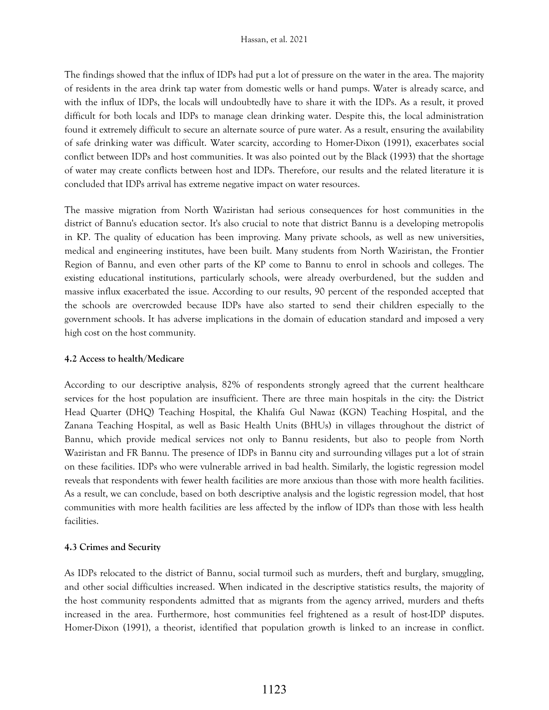The findings showed that the influx of IDPs had put a lot of pressure on the water in the area. The majority of residents in the area drink tap water from domestic wells or hand pumps. Water is already scarce, and with the influx of IDPs, the locals will undoubtedly have to share it with the IDPs. As a result, it proved difficult for both locals and IDPs to manage clean drinking water. Despite this, the local administration found it extremely difficult to secure an alternate source of pure water. As a result, ensuring the availability of safe drinking water was difficult. Water scarcity, according to Homer-Dixon (1991), exacerbates social conflict between IDPs and host communities. It was also pointed out by the Black (1993) that the shortage of water may create conflicts between host and IDPs. Therefore, our results and the related literature it is concluded that IDPs arrival has extreme negative impact on water resources.

The massive migration from North Waziristan had serious consequences for host communities in the district of Bannu's education sector. It's also crucial to note that district Bannu is a developing metropolis in KP. The quality of education has been improving. Many private schools, as well as new universities, medical and engineering institutes, have been built. Many students from North Waziristan, the Frontier Region of Bannu, and even other parts of the KP come to Bannu to enrol in schools and colleges. The existing educational institutions, particularly schools, were already overburdened, but the sudden and massive influx exacerbated the issue. According to our results, 90 percent of the responded accepted that the schools are overcrowded because IDPs have also started to send their children especially to the government schools. It has adverse implications in the domain of education standard and imposed a very high cost on the host community.

## **4.2 Access to health/Medicare**

According to our descriptive analysis, 82% of respondents strongly agreed that the current healthcare services for the host population are insufficient. There are three main hospitals in the city: the District Head Quarter (DHQ) Teaching Hospital, the Khalifa Gul Nawaz (KGN) Teaching Hospital, and the Zanana Teaching Hospital, as well as Basic Health Units (BHUs) in villages throughout the district of Bannu, which provide medical services not only to Bannu residents, but also to people from North Waziristan and FR Bannu. The presence of IDPs in Bannu city and surrounding villages put a lot of strain on these facilities. IDPs who were vulnerable arrived in bad health. Similarly, the logistic regression model reveals that respondents with fewer health facilities are more anxious than those with more health facilities. As a result, we can conclude, based on both descriptive analysis and the logistic regression model, that host communities with more health facilities are less affected by the inflow of IDPs than those with less health facilities.

## **4.3 Crimes and Security**

As IDPs relocated to the district of Bannu, social turmoil such as murders, theft and burglary, smuggling, and other social difficulties increased. When indicated in the descriptive statistics results, the majority of the host community respondents admitted that as migrants from the agency arrived, murders and thefts increased in the area. Furthermore, host communities feel frightened as a result of host-IDP disputes. Homer-Dixon (1991), a theorist, identified that population growth is linked to an increase in conflict.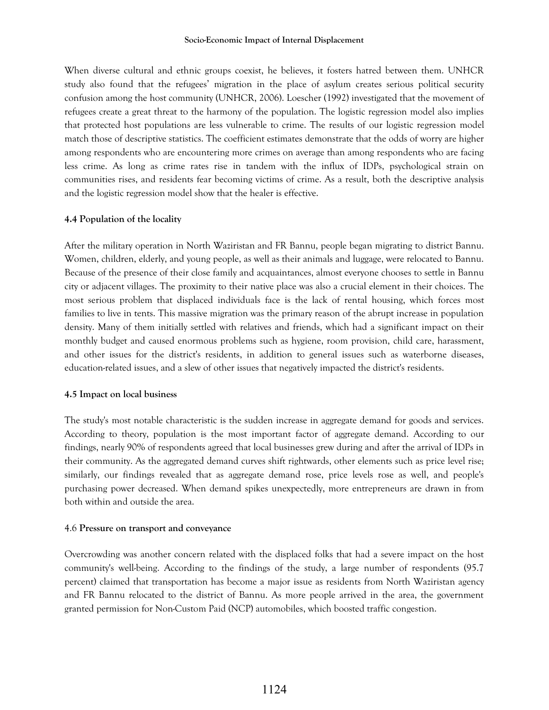#### **Socio-Economic Impact of Internal Displacement**

When diverse cultural and ethnic groups coexist, he believes, it fosters hatred between them. UNHCR study also found that the refugees" migration in the place of asylum creates serious political security confusion among the host community (UNHCR, 2006). Loescher (1992) investigated that the movement of refugees create a great threat to the harmony of the population. The logistic regression model also implies that protected host populations are less vulnerable to crime. The results of our logistic regression model match those of descriptive statistics. The coefficient estimates demonstrate that the odds of worry are higher among respondents who are encountering more crimes on average than among respondents who are facing less crime. As long as crime rates rise in tandem with the influx of IDPs, psychological strain on communities rises, and residents fear becoming victims of crime. As a result, both the descriptive analysis and the logistic regression model show that the healer is effective.

### **4.4 Population of the locality**

After the military operation in North Waziristan and FR Bannu, people began migrating to district Bannu. Women, children, elderly, and young people, as well as their animals and luggage, were relocated to Bannu. Because of the presence of their close family and acquaintances, almost everyone chooses to settle in Bannu city or adjacent villages. The proximity to their native place was also a crucial element in their choices. The most serious problem that displaced individuals face is the lack of rental housing, which forces most families to live in tents. This massive migration was the primary reason of the abrupt increase in population density. Many of them initially settled with relatives and friends, which had a significant impact on their monthly budget and caused enormous problems such as hygiene, room provision, child care, harassment, and other issues for the district's residents, in addition to general issues such as waterborne diseases, education-related issues, and a slew of other issues that negatively impacted the district's residents.

### **4.5 Impact on local business**

The study's most notable characteristic is the sudden increase in aggregate demand for goods and services. According to theory, population is the most important factor of aggregate demand. According to our findings, nearly 90% of respondents agreed that local businesses grew during and after the arrival of IDPs in their community. As the aggregated demand curves shift rightwards, other elements such as price level rise; similarly, our findings revealed that as aggregate demand rose, price levels rose as well, and people's purchasing power decreased. When demand spikes unexpectedly, more entrepreneurs are drawn in from both within and outside the area.

### 4.6 **Pressure on transport and conveyance**

Overcrowding was another concern related with the displaced folks that had a severe impact on the host community's well-being. According to the findings of the study, a large number of respondents (95.7 percent) claimed that transportation has become a major issue as residents from North Waziristan agency and FR Bannu relocated to the district of Bannu. As more people arrived in the area, the government granted permission for Non-Custom Paid (NCP) automobiles, which boosted traffic congestion.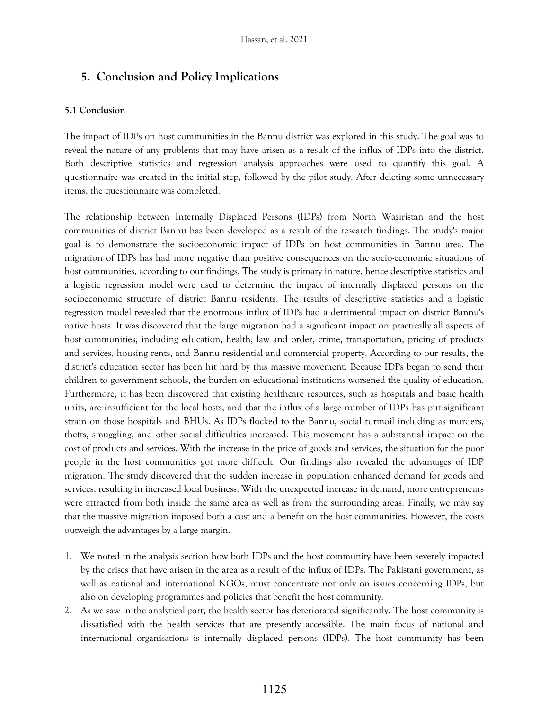# **5. Conclusion and Policy Implications**

### **5.1 Conclusion**

The impact of IDPs on host communities in the Bannu district was explored in this study. The goal was to reveal the nature of any problems that may have arisen as a result of the influx of IDPs into the district. Both descriptive statistics and regression analysis approaches were used to quantify this goal. A questionnaire was created in the initial step, followed by the pilot study. After deleting some unnecessary items, the questionnaire was completed.

The relationship between Internally Displaced Persons (IDPs) from North Waziristan and the host communities of district Bannu has been developed as a result of the research findings. The study's major goal is to demonstrate the socioeconomic impact of IDPs on host communities in Bannu area. The migration of IDPs has had more negative than positive consequences on the socio-economic situations of host communities, according to our findings. The study is primary in nature, hence descriptive statistics and a logistic regression model were used to determine the impact of internally displaced persons on the socioeconomic structure of district Bannu residents. The results of descriptive statistics and a logistic regression model revealed that the enormous influx of IDPs had a detrimental impact on district Bannu's native hosts. It was discovered that the large migration had a significant impact on practically all aspects of host communities, including education, health, law and order, crime, transportation, pricing of products and services, housing rents, and Bannu residential and commercial property. According to our results, the district's education sector has been hit hard by this massive movement. Because IDPs began to send their children to government schools, the burden on educational institutions worsened the quality of education. Furthermore, it has been discovered that existing healthcare resources, such as hospitals and basic health units, are insufficient for the local hosts, and that the influx of a large number of IDPs has put significant strain on those hospitals and BHUs. As IDPs flocked to the Bannu, social turmoil including as murders, thefts, smuggling, and other social difficulties increased. This movement has a substantial impact on the cost of products and services. With the increase in the price of goods and services, the situation for the poor people in the host communities got more difficult. Our findings also revealed the advantages of IDP migration. The study discovered that the sudden increase in population enhanced demand for goods and services, resulting in increased local business. With the unexpected increase in demand, more entrepreneurs were attracted from both inside the same area as well as from the surrounding areas. Finally, we may say that the massive migration imposed both a cost and a benefit on the host communities. However, the costs outweigh the advantages by a large margin.

- 1. We noted in the analysis section how both IDPs and the host community have been severely impacted by the crises that have arisen in the area as a result of the influx of IDPs. The Pakistani government, as well as national and international NGOs, must concentrate not only on issues concerning IDPs, but also on developing programmes and policies that benefit the host community.
- 2. As we saw in the analytical part, the health sector has deteriorated significantly. The host community is dissatisfied with the health services that are presently accessible. The main focus of national and international organisations is internally displaced persons (IDPs). The host community has been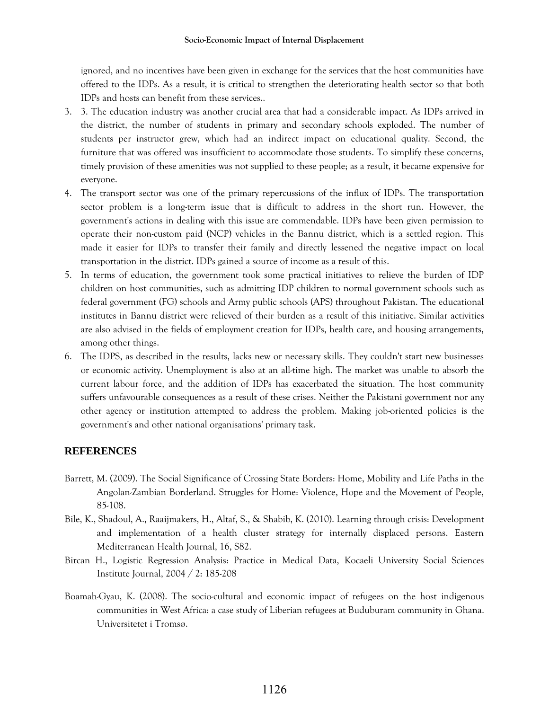ignored, and no incentives have been given in exchange for the services that the host communities have offered to the IDPs. As a result, it is critical to strengthen the deteriorating health sector so that both IDPs and hosts can benefit from these services..

- 3. 3. The education industry was another crucial area that had a considerable impact. As IDPs arrived in the district, the number of students in primary and secondary schools exploded. The number of students per instructor grew, which had an indirect impact on educational quality. Second, the furniture that was offered was insufficient to accommodate those students. To simplify these concerns, timely provision of these amenities was not supplied to these people; as a result, it became expensive for everyone.
- 4. The transport sector was one of the primary repercussions of the influx of IDPs. The transportation sector problem is a long-term issue that is difficult to address in the short run. However, the government's actions in dealing with this issue are commendable. IDPs have been given permission to operate their non-custom paid (NCP) vehicles in the Bannu district, which is a settled region. This made it easier for IDPs to transfer their family and directly lessened the negative impact on local transportation in the district. IDPs gained a source of income as a result of this.
- 5. In terms of education, the government took some practical initiatives to relieve the burden of IDP children on host communities, such as admitting IDP children to normal government schools such as federal government (FG) schools and Army public schools (APS) throughout Pakistan. The educational institutes in Bannu district were relieved of their burden as a result of this initiative. Similar activities are also advised in the fields of employment creation for IDPs, health care, and housing arrangements, among other things.
- 6. The IDPS, as described in the results, lacks new or necessary skills. They couldn't start new businesses or economic activity. Unemployment is also at an all-time high. The market was unable to absorb the current labour force, and the addition of IDPs has exacerbated the situation. The host community suffers unfavourable consequences as a result of these crises. Neither the Pakistani government nor any other agency or institution attempted to address the problem. Making job-oriented policies is the government's and other national organisations' primary task.

# **REFERENCES**

- Barrett, M. (2009). The Social Significance of Crossing State Borders: Home, Mobility and Life Paths in the Angolan-Zambian Borderland. Struggles for Home: Violence, Hope and the Movement of People, 85-108.
- Bile, K., Shadoul, A., Raaijmakers, H., Altaf, S., & Shabib, K. (2010). Learning through crisis: Development and implementation of a health cluster strategy for internally displaced persons. Eastern Mediterranean Health Journal, 16, S82.
- Bircan H., Logistic Regression Analysis: Practice in Medical Data, Kocaeli University Social Sciences Institute Journal, 2004 / 2: 185-208
- Boamah-Gyau, K. (2008). The socio-cultural and economic impact of refugees on the host indigenous communities in West Africa: a case study of Liberian refugees at Buduburam community in Ghana. Universitetet i Tromsø.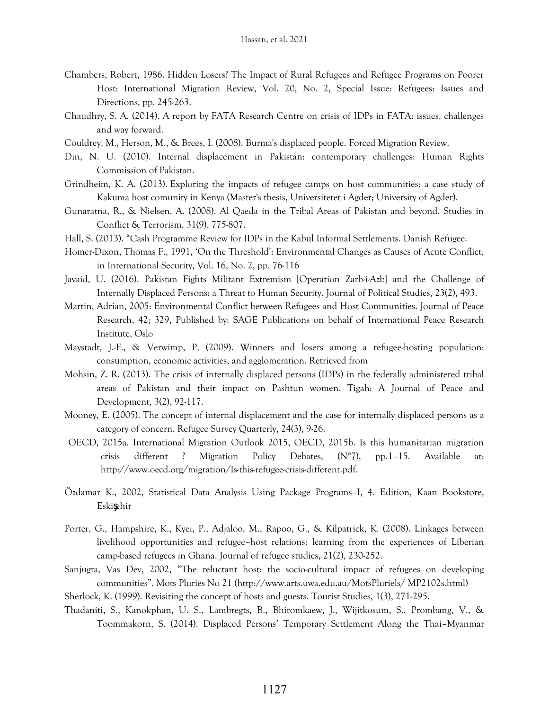- Chambers, Robert, 1986. Hidden Losers? The Impact of Rural Refugees and Refugee Programs on Poorer Host: International Migration Review, Vol. 20, No. 2, Special Issue: Refugees: Issues and Directions, pp. 245-263.
- Chaudhry, S. A. (2014). A report by FATA Research Centre on crisis of IDPs in FATA: issues, challenges and way forward.
- Couldrey, M., Herson, M., & Brees, I. (2008). Burma's displaced people. Forced Migration Review.
- Din, N. U. (2010). Internal displacement in Pakistan: contemporary challenges: Human Rights Commission of Pakistan.
- Grindheim, K. A. (2013). Exploring the impacts of refugee camps on host communities: a case study of Kakuma host comunity in Kenya (Master's thesis, Universitetet i Agder; University of Agder).
- Gunaratna, R., & Nielsen, A. (2008). Al Qaeda in the Tribal Areas of Pakistan and beyond. Studies in Conflict & Terrorism, 31(9), 775-807.
- Hall, S. (2013). "Cash Programme Review for IDPs in the Kabul Informal Settlements. Danish Refugee.
- Homer-Dixon, Thomas F., 1991, "On the Threshold": Environmental Changes as Causes of Acute Conflict, in International Security, Vol. 16, No. 2, pp. 76-116
- Javaid, U. (2016). Pakistan Fights Militant Extremism [Operation Zarb-i-Azb] and the Challenge of Internally Displaced Persons: a Threat to Human Security. Journal of Political Studies, 23(2), 493.
- Martin, Adrian, 2005: Environmental Conflict between Refugees and Host Communities. Journal of Peace Research, 42; 329, Published by: SAGE Publications on behalf of International Peace Research Institute, Oslo
- Maystadt, J.-F., & Verwimp, P. (2009). Winners and losers among a refugee-hosting population: consumption, economic activities, and agglomeration. Retrieved from
- Mohsin, Z. R. (2013). The crisis of internally displaced persons (IDPs) in the federally administered tribal areas of Pakistan and their impact on Pashtun women. Tigah: A Journal of Peace and Development, 3(2), 92-117.
- Mooney, E. (2005). The concept of internal displacement and the case for internally displaced persons as a category of concern. Refugee Survey Quarterly, 24(3), 9-26.
- OECD, 2015a. International Migration Outlook 2015, OECD, 2015b. Is this humanitarian migration crisis different ? Migration Policy Debates, (N°7), pp.1–15. Available at: http://www.oecd.org/migration/Is-this-refugee-crisis-different.pdf.
- Özdamar K., 2002, Statistical Data Analysis Using Package Programs–I, 4. Edition, Kaan Bookstore, Eskişehir
- Porter, G., Hampshire, K., Kyei, P., Adjaloo, M., Rapoo, G., & Kilpatrick, K. (2008). Linkages between livelihood opportunities and refugee–host relations: learning from the experiences of Liberian camp-based refugees in Ghana. Journal of refugee studies, 21(2), 230-252.
- Sanjugta, Vas Dev, 2002, "The reluctant host: the socio-cultural impact of refugees on developing communities". Mots Pluries No 21 (http://www.arts.uwa.edu.au/MotsPluriels/ MP2102s.html)
- Sherlock, K. (1999). Revisiting the concept of hosts and guests. Tourist Studies, 1(3), 271-295.
- Thadaniti, S., Kanokphan, U. S., Lambregts, B., Bhiromkaew, J., Wijitkosum, S., Prombang, V., & Toommakorn, S. (2014). Displaced Persons" Temporary Settlement Along the Thai–Myanmar